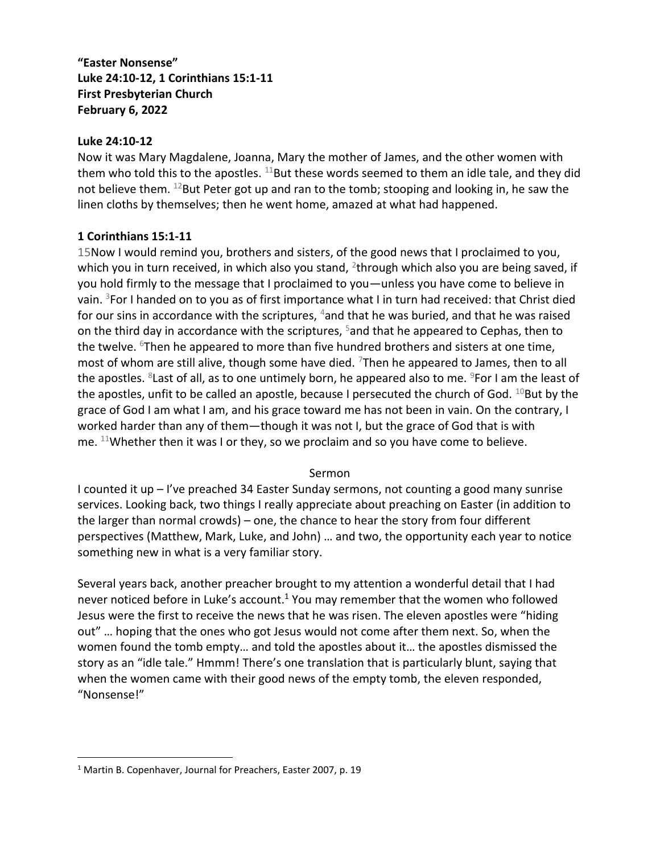## **"Easter Nonsense" Luke 24:10-12, 1 Corinthians 15:1-11 First Presbyterian Church February 6, 2022**

## **Luke 24:10-12**

Now it was Mary Magdalene, Joanna, Mary the mother of James, and the other women with them who told this to the apostles.  $^{11}$ But these words seemed to them an idle tale, and they did not believe them. <sup>12</sup>But Peter got up and ran to the tomb; stooping and looking in, he saw the linen cloths by themselves; then he went home, amazed at what had happened.

## **1 Corinthians 15:1-11**

15Now I would remind you, brothers and sisters, of the good news that I proclaimed to you, which you in turn received, in which also you stand, <sup>2</sup>through which also you are being saved, if you hold firmly to the message that I proclaimed to you—unless you have come to believe in vain. <sup>3</sup>For I handed on to you as of first importance what I in turn had received: that Christ died for our sins in accordance with the scriptures,  $4$  and that he was buried, and that he was raised on the third day in accordance with the scriptures, <sup>5</sup> and that he appeared to Cephas, then to the twelve. <sup>6</sup>Then he appeared to more than five hundred brothers and sisters at one time, most of whom are still alive, though some have died.  $7$ Then he appeared to James, then to all the apostles. <sup>8</sup>Last of all, as to one untimely born, he appeared also to me. <sup>9</sup>For I am the least of the apostles, unfit to be called an apostle, because I persecuted the church of God.  $^{10}$ But by the grace of God I am what I am, and his grace toward me has not been in vain. On the contrary, I worked harder than any of them—though it was not I, but the grace of God that is with me.  $11$ Whether then it was I or they, so we proclaim and so you have come to believe.

## Sermon

I counted it up – I've preached 34 Easter Sunday sermons, not counting a good many sunrise services. Looking back, two things I really appreciate about preaching on Easter (in addition to the larger than normal crowds) – one, the chance to hear the story from four different perspectives (Matthew, Mark, Luke, and John) … and two, the opportunity each year to notice something new in what is a very familiar story.

Several years back, another preacher brought to my attention a wonderful detail that I had never noticed before in Luke's account.<sup>1</sup> You may remember that the women who followed Jesus were the first to receive the news that he was risen. The eleven apostles were "hiding out" … hoping that the ones who got Jesus would not come after them next. So, when the women found the tomb empty… and told the apostles about it… the apostles dismissed the story as an "idle tale." Hmmm! There's one translation that is particularly blunt, saying that when the women came with their good news of the empty tomb, the eleven responded, "Nonsense!"

<sup>&</sup>lt;sup>1</sup> Martin B. Copenhaver, Journal for Preachers, Easter 2007, p. 19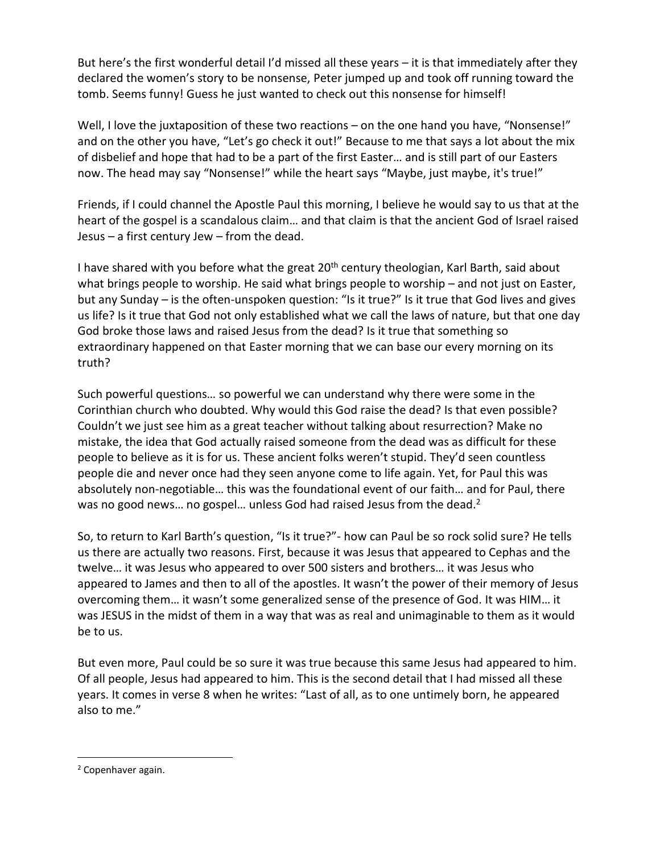But here's the first wonderful detail I'd missed all these years – it is that immediately after they declared the women's story to be nonsense, Peter jumped up and took off running toward the tomb. Seems funny! Guess he just wanted to check out this nonsense for himself!

Well, I love the juxtaposition of these two reactions – on the one hand you have, "Nonsense!" and on the other you have, "Let's go check it out!" Because to me that says a lot about the mix of disbelief and hope that had to be a part of the first Easter… and is still part of our Easters now. The head may say "Nonsense!" while the heart says "Maybe, just maybe, it's true!"

Friends, if I could channel the Apostle Paul this morning, I believe he would say to us that at the heart of the gospel is a scandalous claim… and that claim is that the ancient God of Israel raised Jesus – a first century Jew – from the dead.

I have shared with you before what the great 20<sup>th</sup> century theologian, Karl Barth, said about what brings people to worship. He said what brings people to worship – and not just on Easter, but any Sunday – is the often-unspoken question: "Is it true?" Is it true that God lives and gives us life? Is it true that God not only established what we call the laws of nature, but that one day God broke those laws and raised Jesus from the dead? Is it true that something so extraordinary happened on that Easter morning that we can base our every morning on its truth?

Such powerful questions… so powerful we can understand why there were some in the Corinthian church who doubted. Why would this God raise the dead? Is that even possible? Couldn't we just see him as a great teacher without talking about resurrection? Make no mistake, the idea that God actually raised someone from the dead was as difficult for these people to believe as it is for us. These ancient folks weren't stupid. They'd seen countless people die and never once had they seen anyone come to life again. Yet, for Paul this was absolutely non-negotiable… this was the foundational event of our faith… and for Paul, there was no good news... no gospel... unless God had raised Jesus from the dead.<sup>2</sup>

So, to return to Karl Barth's question, "Is it true?"- how can Paul be so rock solid sure? He tells us there are actually two reasons. First, because it was Jesus that appeared to Cephas and the twelve… it was Jesus who appeared to over 500 sisters and brothers… it was Jesus who appeared to James and then to all of the apostles. It wasn't the power of their memory of Jesus overcoming them… it wasn't some generalized sense of the presence of God. It was HIM… it was JESUS in the midst of them in a way that was as real and unimaginable to them as it would be to us.

But even more, Paul could be so sure it was true because this same Jesus had appeared to him. Of all people, Jesus had appeared to him. This is the second detail that I had missed all these years. It comes in verse 8 when he writes: "Last of all, as to one untimely born, he appeared also to me."

<sup>2</sup> Copenhaver again.